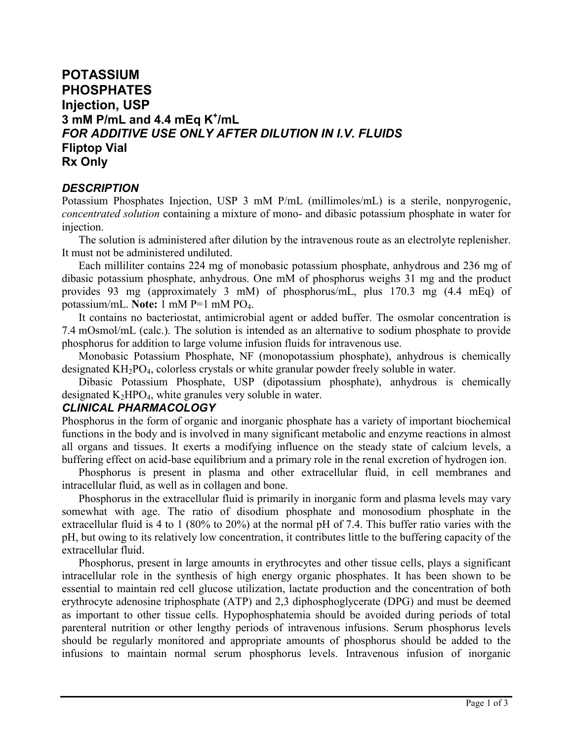# **POTASSIUM PHOSPHATES Injection, USP 3 mM P/mL and 4.4 mEq K<sup>+</sup> /mL** *FOR ADDITIVE USE ONLY AFTER DILUTION IN I.V. FLUIDS* **Fliptop Vial Rx Only**

# *DESCRIPTION*

Potassium Phosphates Injection, USP 3 mM P/mL (millimoles/mL) is a sterile, nonpyrogenic, *concentrated solution* containing a mixture of mono- and dibasic potassium phosphate in water for injection.

The solution is administered after dilution by the intravenous route as an electrolyte replenisher. It must not be administered undiluted.

Each milliliter contains 224 mg of monobasic potassium phosphate, anhydrous and 236 mg of dibasic potassium phosphate, anhydrous. One mM of phosphorus weighs 31 mg and the product provides 93 mg (approximately 3 mM) of phosphorus/mL, plus 170.3 mg (4.4 mEq) of potassium/mL. **Note:** 1 mM P=1 mM PO4.

It contains no bacteriostat, antimicrobial agent or added buffer. The osmolar concentration is 7.4 mOsmol/mL (calc.). The solution is intended as an alternative to sodium phosphate to provide phosphorus for addition to large volume infusion fluids for intravenous use.

Monobasic Potassium Phosphate, NF (monopotassium phosphate), anhydrous is chemically designated KH2PO4, colorless crystals or white granular powder freely soluble in water.

Dibasic Potassium Phosphate, USP (dipotassium phosphate), anhydrous is chemically designated  $K_2HPO_4$ , white granules very soluble in water.

# *CLINICAL PHARMACOLOGY*

Phosphorus in the form of organic and inorganic phosphate has a variety of important biochemical functions in the body and is involved in many significant metabolic and enzyme reactions in almost all organs and tissues. It exerts a modifying influence on the steady state of calcium levels, a buffering effect on acid-base equilibrium and a primary role in the renal excretion of hydrogen ion.

Phosphorus is present in plasma and other extracellular fluid, in cell membranes and intracellular fluid, as well as in collagen and bone.

Phosphorus in the extracellular fluid is primarily in inorganic form and plasma levels may vary somewhat with age. The ratio of disodium phosphate and monosodium phosphate in the extracellular fluid is 4 to 1 (80% to 20%) at the normal pH of 7.4. This buffer ratio varies with the pH, but owing to its relatively low concentration, it contributes little to the buffering capacity of the extracellular fluid.

Phosphorus, present in large amounts in erythrocytes and other tissue cells, plays a significant intracellular role in the synthesis of high energy organic phosphates. It has been shown to be essential to maintain red cell glucose utilization, lactate production and the concentration of both erythrocyte adenosine triphosphate (ATP) and 2,3 diphosphoglycerate (DPG) and must be deemed as important to other tissue cells. Hypophosphatemia should be avoided during periods of total parenteral nutrition or other lengthy periods of intravenous infusions. Serum phosphorus levels should be regularly monitored and appropriate amounts of phosphorus should be added to the infusions to maintain normal serum phosphorus levels. Intravenous infusion of inorganic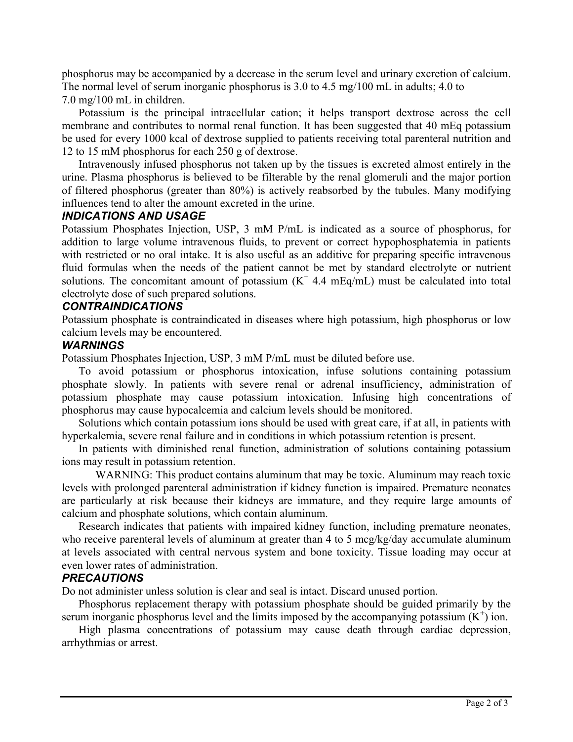phosphorus may be accompanied by a decrease in the serum level and urinary excretion of calcium. The normal level of serum inorganic phosphorus is 3.0 to 4.5 mg/100 mL in adults; 4.0 to 7.0 mg/100 mL in children.

Potassium is the principal intracellular cation; it helps transport dextrose across the cell membrane and contributes to normal renal function. It has been suggested that 40 mEq potassium be used for every 1000 kcal of dextrose supplied to patients receiving total parenteral nutrition and 12 to 15 mM phosphorus for each 250 g of dextrose.

Intravenously infused phosphorus not taken up by the tissues is excreted almost entirely in the urine. Plasma phosphorus is believed to be filterable by the renal glomeruli and the major portion of filtered phosphorus (greater than 80%) is actively reabsorbed by the tubules. Many modifying influences tend to alter the amount excreted in the urine.

# *INDICATIONS AND USAGE*

Potassium Phosphates Injection, USP, 3 mM P/mL is indicated as a source of phosphorus, for addition to large volume intravenous fluids, to prevent or correct hypophosphatemia in patients with restricted or no oral intake. It is also useful as an additive for preparing specific intravenous fluid formulas when the needs of the patient cannot be met by standard electrolyte or nutrient solutions. The concomitant amount of potassium  $(K^+ 4.4 \text{ mEq/mL})$  must be calculated into total electrolyte dose of such prepared solutions.

## *CONTRAINDICATIONS*

Potassium phosphate is contraindicated in diseases where high potassium, high phosphorus or low calcium levels may be encountered.

# *WARNINGS*

Potassium Phosphates Injection, USP, 3 mM P/mL must be diluted before use.

To avoid potassium or phosphorus intoxication, infuse solutions containing potassium phosphate slowly. In patients with severe renal or adrenal insufficiency, administration of potassium phosphate may cause potassium intoxication. Infusing high concentrations of phosphorus may cause hypocalcemia and calcium levels should be monitored.

Solutions which contain potassium ions should be used with great care, if at all, in patients with hyperkalemia, severe renal failure and in conditions in which potassium retention is present.

In patients with diminished renal function, administration of solutions containing potassium ions may result in potassium retention.

WARNING: This product contains aluminum that may be toxic. Aluminum may reach toxic levels with prolonged parenteral administration if kidney function is impaired. Premature neonates are particularly at risk because their kidneys are immature, and they require large amounts of calcium and phosphate solutions, which contain aluminum.

Research indicates that patients with impaired kidney function, including premature neonates, who receive parenteral levels of aluminum at greater than 4 to 5 mcg/kg/day accumulate aluminum at levels associated with central nervous system and bone toxicity. Tissue loading may occur at even lower rates of administration.

#### *PRECAUTIONS*

Do not administer unless solution is clear and seal is intact. Discard unused portion.

Phosphorus replacement therapy with potassium phosphate should be guided primarily by the serum inorganic phosphorus level and the limits imposed by the accompanying potassium  $(K^+)$  ion.

High plasma concentrations of potassium may cause death through cardiac depression, arrhythmias or arrest.